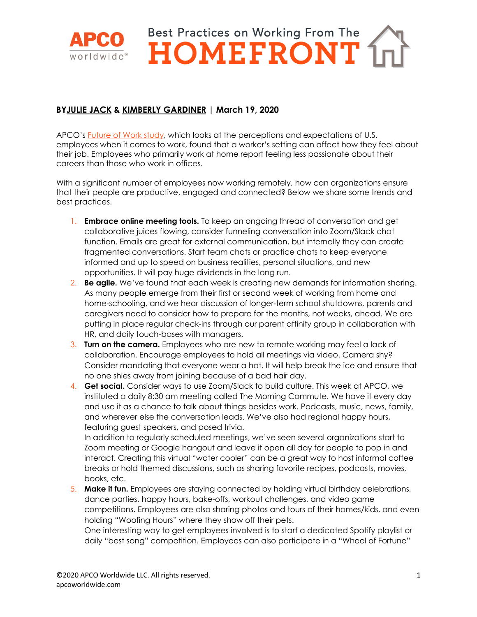

## **BYJULIE JACK & KIMBERLY GARDINER | March 19, 2020**

APCO's Future of Work study, which looks at the perceptions and expectations of U.S. employees when it comes to work, found that a worker's setting can affect how they feel about their job. Employees who primarily work at home report feeling less passionate about their careers than those who work in offices.

With a significant number of employees now working remotely, how can organizations ensure that their people are productive, engaged and connected? Below we share some trends and best practices.

- 1. **Embrace online meeting tools.** To keep an ongoing thread of conversation and get collaborative juices flowing, consider funneling conversation into Zoom/Slack chat function. Emails are great for external communication, but internally they can create fragmented conversations. Start team chats or practice chats to keep everyone informed and up to speed on business realities, personal situations, and new opportunities. It will pay huge dividends in the long run.
- 2. **Be agile.** We've found that each week is creating new demands for information sharing. As many people emerge from their first or second week of working from home and home-schooling, and we hear discussion of longer-term school shutdowns, parents and caregivers need to consider how to prepare for the months, not weeks, ahead. We are putting in place regular check-ins through our parent affinity group in collaboration with HR, and daily touch-bases with managers.
- 3. **Turn on the camera.** Employees who are new to remote working may feel a lack of collaboration. Encourage employees to hold all meetings via video. Camera shy? Consider mandating that everyone wear a hat. It will help break the ice and ensure that no one shies away from joining because of a bad hair day.
- 4. **Get social.** Consider ways to use Zoom/Slack to build culture. This week at APCO, we instituted a daily 8:30 am meeting called The Morning Commute. We have it every day and use it as a chance to talk about things besides work. Podcasts, music, news, family, and wherever else the conversation leads. We've also had regional happy hours, featuring guest speakers, and posed trivia.

In addition to regularly scheduled meetings, we've seen several organizations start to Zoom meeting or Google hangout and leave it open all day for people to pop in and interact. Creating this virtual "water cooler" can be a great way to host informal coffee breaks or hold themed discussions, such as sharing favorite recipes, podcasts, movies, books, etc.

5. **Make it fun.** Employees are staying connected by holding virtual birthday celebrations, dance parties, happy hours, bake-offs, workout challenges, and video game competitions. Employees are also sharing photos and tours of their homes/kids, and even holding "Woofing Hours" where they show off their pets.

One interesting way to get employees involved is to start a dedicated Spotify playlist or daily "best song" competition. Employees can also participate in a "Wheel of Fortune"